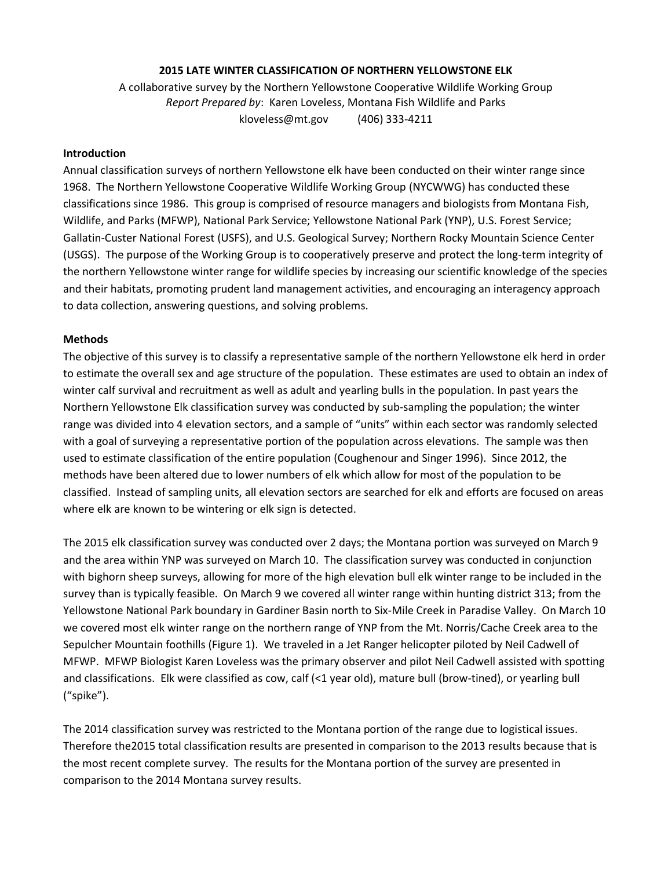## **2015 LATE WINTER CLASSIFICATION OF NORTHERN YELLOWSTONE ELK**

A collaborative survey by the Northern Yellowstone Cooperative Wildlife Working Group *Report Prepared by*: Karen Loveless, Montana Fish Wildlife and Parks kloveless@mt.gov (406) 333-4211

### **Introduction**

Annual classification surveys of northern Yellowstone elk have been conducted on their winter range since 1968. The Northern Yellowstone Cooperative Wildlife Working Group (NYCWWG) has conducted these classifications since 1986. This group is comprised of resource managers and biologists from Montana Fish, Wildlife, and Parks (MFWP), National Park Service; Yellowstone National Park (YNP), U.S. Forest Service; Gallatin-Custer National Forest (USFS), and U.S. Geological Survey; Northern Rocky Mountain Science Center (USGS). The purpose of the Working Group is to cooperatively preserve and protect the long-term integrity of the northern Yellowstone winter range for wildlife species by increasing our scientific knowledge of the species and their habitats, promoting prudent land management activities, and encouraging an interagency approach to data collection, answering questions, and solving problems.

#### **Methods**

The objective of this survey is to classify a representative sample of the northern Yellowstone elk herd in order to estimate the overall sex and age structure of the population. These estimates are used to obtain an index of winter calf survival and recruitment as well as adult and yearling bulls in the population. In past years the Northern Yellowstone Elk classification survey was conducted by sub-sampling the population; the winter range was divided into 4 elevation sectors, and a sample of "units" within each sector was randomly selected with a goal of surveying a representative portion of the population across elevations. The sample was then used to estimate classification of the entire population (Coughenour and Singer 1996). Since 2012, the methods have been altered due to lower numbers of elk which allow for most of the population to be classified. Instead of sampling units, all elevation sectors are searched for elk and efforts are focused on areas where elk are known to be wintering or elk sign is detected.

The 2015 elk classification survey was conducted over 2 days; the Montana portion was surveyed on March 9 and the area within YNP was surveyed on March 10. The classification survey was conducted in conjunction with bighorn sheep surveys, allowing for more of the high elevation bull elk winter range to be included in the survey than is typically feasible. On March 9 we covered all winter range within hunting district 313; from the Yellowstone National Park boundary in Gardiner Basin north to Six-Mile Creek in Paradise Valley. On March 10 we covered most elk winter range on the northern range of YNP from the Mt. Norris/Cache Creek area to the Sepulcher Mountain foothills (Figure 1). We traveled in a Jet Ranger helicopter piloted by Neil Cadwell of MFWP. MFWP Biologist Karen Loveless was the primary observer and pilot Neil Cadwell assisted with spotting and classifications. Elk were classified as cow, calf (<1 year old), mature bull (brow-tined), or yearling bull ("spike").

The 2014 classification survey was restricted to the Montana portion of the range due to logistical issues. Therefore the2015 total classification results are presented in comparison to the 2013 results because that is the most recent complete survey. The results for the Montana portion of the survey are presented in comparison to the 2014 Montana survey results.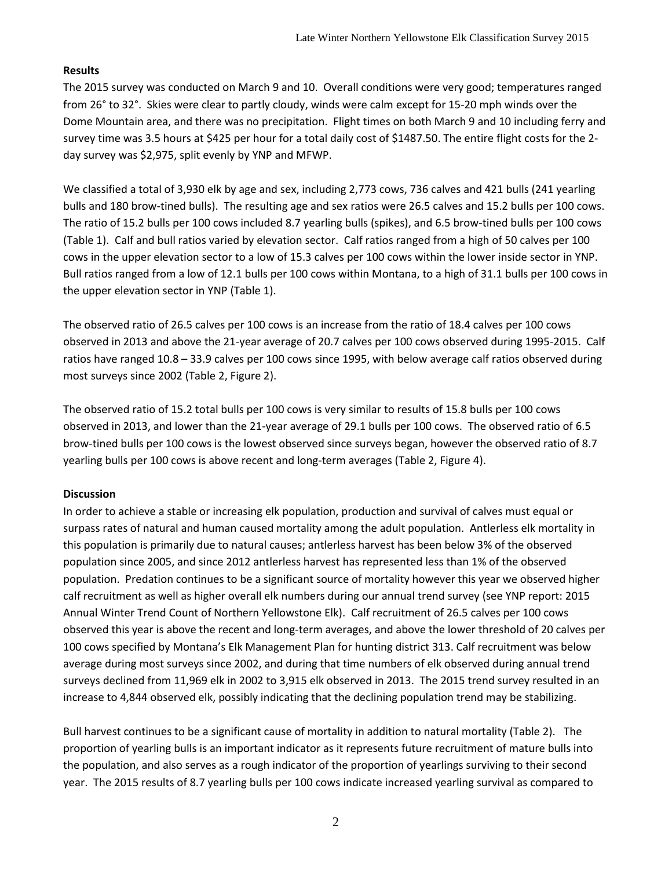# **Results**

The 2015 survey was conducted on March 9 and 10. Overall conditions were very good; temperatures ranged from 26° to 32°. Skies were clear to partly cloudy, winds were calm except for 15-20 mph winds over the Dome Mountain area, and there was no precipitation. Flight times on both March 9 and 10 including ferry and survey time was 3.5 hours at \$425 per hour for a total daily cost of \$1487.50. The entire flight costs for the 2 day survey was \$2,975, split evenly by YNP and MFWP.

We classified a total of 3,930 elk by age and sex, including 2,773 cows, 736 calves and 421 bulls (241 yearling bulls and 180 brow-tined bulls). The resulting age and sex ratios were 26.5 calves and 15.2 bulls per 100 cows. The ratio of 15.2 bulls per 100 cows included 8.7 yearling bulls (spikes), and 6.5 brow-tined bulls per 100 cows (Table 1). Calf and bull ratios varied by elevation sector. Calf ratios ranged from a high of 50 calves per 100 cows in the upper elevation sector to a low of 15.3 calves per 100 cows within the lower inside sector in YNP. Bull ratios ranged from a low of 12.1 bulls per 100 cows within Montana, to a high of 31.1 bulls per 100 cows in the upper elevation sector in YNP (Table 1).

The observed ratio of 26.5 calves per 100 cows is an increase from the ratio of 18.4 calves per 100 cows observed in 2013 and above the 21-year average of 20.7 calves per 100 cows observed during 1995-2015. Calf ratios have ranged 10.8 – 33.9 calves per 100 cows since 1995, with below average calf ratios observed during most surveys since 2002 (Table 2, Figure 2).

The observed ratio of 15.2 total bulls per 100 cows is very similar to results of 15.8 bulls per 100 cows observed in 2013, and lower than the 21-year average of 29.1 bulls per 100 cows. The observed ratio of 6.5 brow-tined bulls per 100 cows is the lowest observed since surveys began, however the observed ratio of 8.7 yearling bulls per 100 cows is above recent and long-term averages (Table 2, Figure 4).

## **Discussion**

In order to achieve a stable or increasing elk population, production and survival of calves must equal or surpass rates of natural and human caused mortality among the adult population. Antlerless elk mortality in this population is primarily due to natural causes; antlerless harvest has been below 3% of the observed population since 2005, and since 2012 antlerless harvest has represented less than 1% of the observed population. Predation continues to be a significant source of mortality however this year we observed higher calf recruitment as well as higher overall elk numbers during our annual trend survey (see YNP report: 2015 Annual Winter Trend Count of Northern Yellowstone Elk). Calf recruitment of 26.5 calves per 100 cows observed this year is above the recent and long-term averages, and above the lower threshold of 20 calves per 100 cows specified by Montana's Elk Management Plan for hunting district 313. Calf recruitment was below average during most surveys since 2002, and during that time numbers of elk observed during annual trend surveys declined from 11,969 elk in 2002 to 3,915 elk observed in 2013. The 2015 trend survey resulted in an increase to 4,844 observed elk, possibly indicating that the declining population trend may be stabilizing.

Bull harvest continues to be a significant cause of mortality in addition to natural mortality (Table 2). The proportion of yearling bulls is an important indicator as it represents future recruitment of mature bulls into the population, and also serves as a rough indicator of the proportion of yearlings surviving to their second year. The 2015 results of 8.7 yearling bulls per 100 cows indicate increased yearling survival as compared to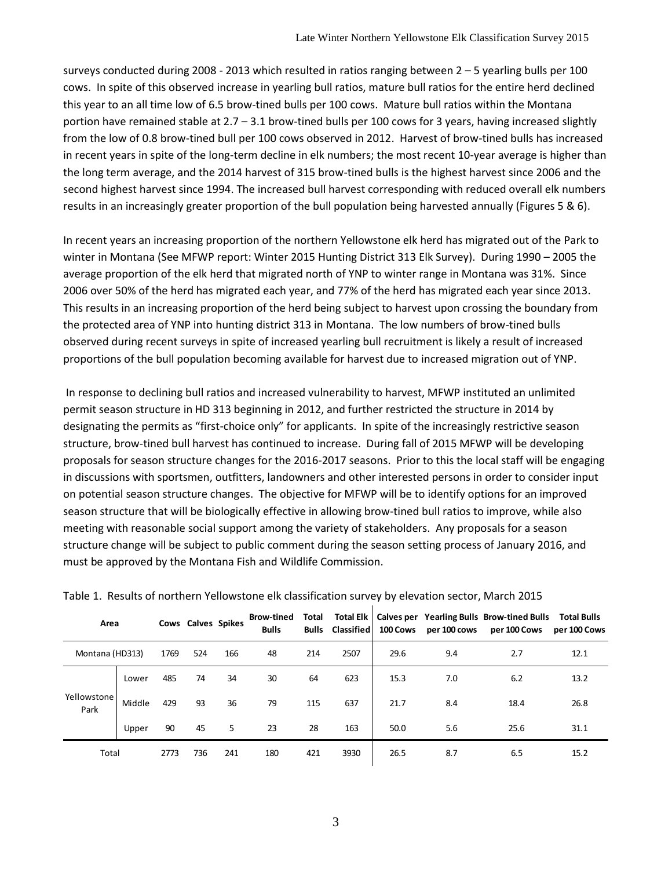surveys conducted during 2008 - 2013 which resulted in ratios ranging between  $2 - 5$  yearling bulls per 100 cows. In spite of this observed increase in yearling bull ratios, mature bull ratios for the entire herd declined this year to an all time low of 6.5 brow-tined bulls per 100 cows. Mature bull ratios within the Montana portion have remained stable at 2.7 – 3.1 brow-tined bulls per 100 cows for 3 years, having increased slightly from the low of 0.8 brow-tined bull per 100 cows observed in 2012. Harvest of brow-tined bulls has increased in recent years in spite of the long-term decline in elk numbers; the most recent 10-year average is higher than the long term average, and the 2014 harvest of 315 brow-tined bulls is the highest harvest since 2006 and the second highest harvest since 1994. The increased bull harvest corresponding with reduced overall elk numbers results in an increasingly greater proportion of the bull population being harvested annually (Figures 5 & 6).

In recent years an increasing proportion of the northern Yellowstone elk herd has migrated out of the Park to winter in Montana (See MFWP report: Winter 2015 Hunting District 313 Elk Survey). During 1990 – 2005 the average proportion of the elk herd that migrated north of YNP to winter range in Montana was 31%. Since 2006 over 50% of the herd has migrated each year, and 77% of the herd has migrated each year since 2013. This results in an increasing proportion of the herd being subject to harvest upon crossing the boundary from the protected area of YNP into hunting district 313 in Montana. The low numbers of brow-tined bulls observed during recent surveys in spite of increased yearling bull recruitment is likely a result of increased proportions of the bull population becoming available for harvest due to increased migration out of YNP.

In response to declining bull ratios and increased vulnerability to harvest, MFWP instituted an unlimited permit season structure in HD 313 beginning in 2012, and further restricted the structure in 2014 by designating the permits as "first-choice only" for applicants. In spite of the increasingly restrictive season structure, brow-tined bull harvest has continued to increase. During fall of 2015 MFWP will be developing proposals for season structure changes for the 2016-2017 seasons. Prior to this the local staff will be engaging in discussions with sportsmen, outfitters, landowners and other interested persons in order to consider input on potential season structure changes. The objective for MFWP will be to identify options for an improved season structure that will be biologically effective in allowing brow-tined bull ratios to improve, while also meeting with reasonable social support among the variety of stakeholders. Any proposals for a season structure change will be subject to public comment during the season setting process of January 2016, and must be approved by the Montana Fish and Wildlife Commission.

| Area                |        |      | Cows Calves Spikes |     | <b>Brow-tined</b><br><b>Bulls</b> | Total | <b>Total Elk</b><br><b>Bulls Classified</b> | <b>100 Cows</b> |     | Calves per Yearling Bulls Brow-tined Bulls<br>per 100 cows per 100 Cows | <b>Total Bulls</b><br>per 100 Cows |
|---------------------|--------|------|--------------------|-----|-----------------------------------|-------|---------------------------------------------|-----------------|-----|-------------------------------------------------------------------------|------------------------------------|
| Montana (HD313)     |        | 1769 | 524                | 166 | 48                                | 214   | 2507                                        | 29.6            | 9.4 | 2.7                                                                     | 12.1                               |
| Yellowstone<br>Park | Lower  | 485  | 74                 | 34  | 30                                | 64    | 623                                         | 15.3            | 7.0 | 6.2                                                                     | 13.2                               |
|                     | Middle | 429  | 93                 | 36  | 79                                | 115   | 637                                         | 21.7            | 8.4 | 18.4                                                                    | 26.8                               |
|                     | Upper  | 90   | 45                 | 5   | 23                                | 28    | 163                                         | 50.0            | 5.6 | 25.6                                                                    | 31.1                               |
| Total               |        | 2773 | 736                | 241 | 180                               | 421   | 3930                                        | 26.5            | 8.7 | 6.5                                                                     | 15.2                               |

| Table 1. Results of northern Yellowstone elk classification survey by elevation sector, March 2015 |  |  |  |  |  |  |  |
|----------------------------------------------------------------------------------------------------|--|--|--|--|--|--|--|
|----------------------------------------------------------------------------------------------------|--|--|--|--|--|--|--|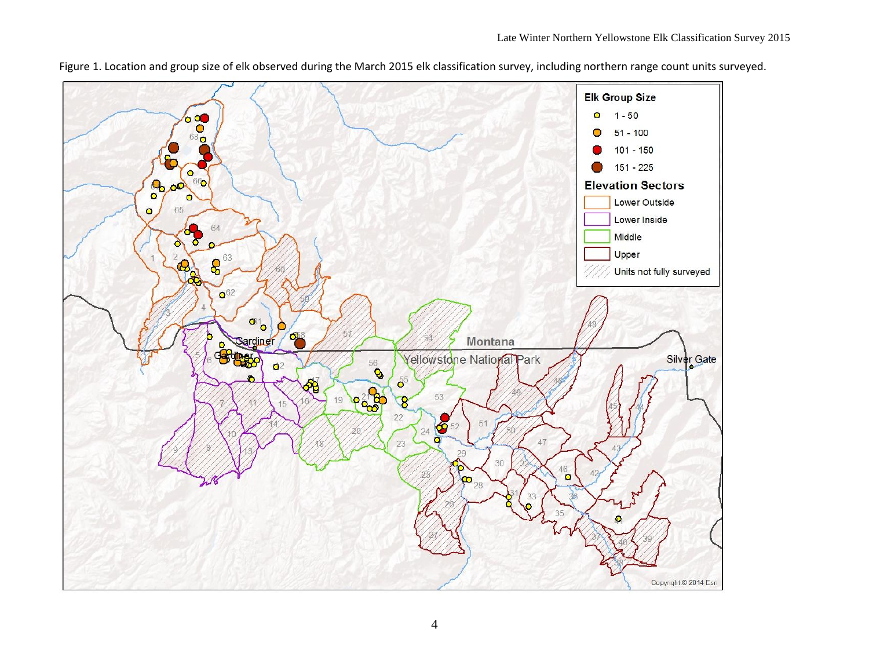

Figure 1. Location and group size of elk observed during the March 2015 elk classification survey, including northern range count units surveyed.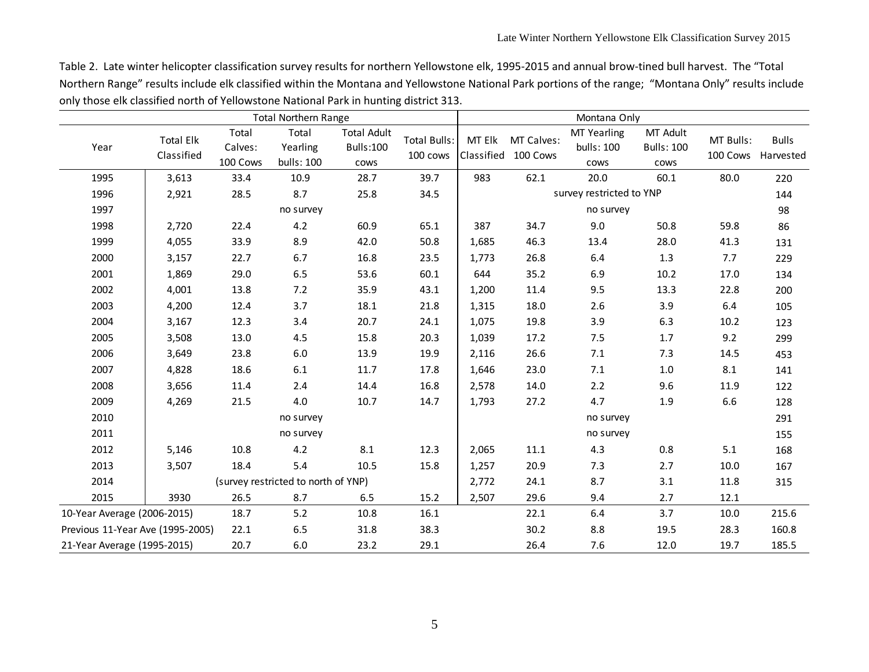Table 2. Late winter helicopter classification survey results for northern Yellowstone elk, 1995-2015 and annual brow-tined bull harvest. The "Total Northern Range" results include elk classified within the Montana and Yellowstone National Park portions of the range; "Montana Only" results include only those elk classified north of Yellowstone National Park in hunting district 313.

| <b>Total Northern Range</b>      |                  |                     |                                     |                    |                                 | Montana Only |                                   |                                  |                               |                       |              |  |
|----------------------------------|------------------|---------------------|-------------------------------------|--------------------|---------------------------------|--------------|-----------------------------------|----------------------------------|-------------------------------|-----------------------|--------------|--|
| Year                             | <b>Total Elk</b> | Total               | Total<br>Yearling                   | <b>Total Adult</b> | <b>Total Bulls:</b><br>100 cows | MT Elk       | MT Calves:<br>Classified 100 Cows | <b>MT Yearling</b><br>bulls: 100 | MT Adult<br><b>Bulls: 100</b> | MT Bulls:<br>100 Cows | <b>Bulls</b> |  |
|                                  | Classified       | Calves:<br>100 Cows | bulls: 100                          | Bulls:100<br>cows  |                                 |              |                                   | cows                             | cows                          |                       | Harvested    |  |
| 1995                             | 3,613            | 33.4                | 10.9                                | 28.7               | 39.7                            | 983          | 62.1                              | 20.0                             | 60.1                          | 80.0                  | 220          |  |
| 1996                             | 2,921            | 28.5                | 8.7                                 | 25.8               | 34.5                            |              |                                   | survey restricted to YNP         |                               |                       | 144          |  |
| 1997                             |                  |                     | no survey                           |                    |                                 |              |                                   | no survey                        |                               |                       | 98           |  |
| 1998                             | 2,720            | 22.4                | 4.2                                 | 60.9               | 65.1                            | 387          | 34.7                              | 9.0                              | 50.8                          | 59.8                  | 86           |  |
| 1999                             | 4,055            | 33.9                | 8.9                                 | 42.0               | 50.8                            | 1,685        | 46.3                              | 13.4                             | 28.0                          | 41.3                  | 131          |  |
| 2000                             | 3,157            | 22.7                | 6.7                                 | 16.8               | 23.5                            | 1,773        | 26.8                              | 6.4                              | 1.3                           | 7.7                   | 229          |  |
| 2001                             | 1,869            | 29.0                | 6.5                                 | 53.6               | 60.1                            | 644          | 35.2                              | 6.9                              | $10.2$                        | 17.0                  | 134          |  |
| 2002                             | 4,001            | 13.8                | 7.2                                 | 35.9               | 43.1                            | 1,200        | 11.4                              | 9.5                              | 13.3                          | 22.8                  | 200          |  |
| 2003                             | 4,200            | 12.4                | 3.7                                 | 18.1               | 21.8                            | 1,315        | 18.0                              | 2.6                              | 3.9                           | 6.4                   | 105          |  |
| 2004                             | 3,167            | 12.3                | 3.4                                 | 20.7               | 24.1                            | 1,075        | 19.8                              | 3.9                              | 6.3                           | 10.2                  | 123          |  |
| 2005                             | 3,508            | 13.0                | 4.5                                 | 15.8               | 20.3                            | 1,039        | 17.2                              | 7.5                              | 1.7                           | 9.2                   | 299          |  |
| 2006                             | 3,649            | 23.8                | $6.0\,$                             | 13.9               | 19.9                            | 2,116        | 26.6                              | 7.1                              | 7.3                           | 14.5                  | 453          |  |
| 2007                             | 4,828            | 18.6                | 6.1                                 | 11.7               | 17.8                            | 1,646        | 23.0                              | 7.1                              | 1.0                           | 8.1                   | 141          |  |
| 2008                             | 3,656            | 11.4                | 2.4                                 | 14.4               | 16.8                            | 2,578        | 14.0                              | 2.2                              | 9.6                           | 11.9                  | 122          |  |
| 2009                             | 4,269            | 21.5                | 4.0                                 | 10.7               | 14.7                            | 1,793        | 27.2                              | 4.7                              | 1.9                           | 6.6                   | 128          |  |
| 2010                             |                  | no survey           |                                     |                    |                                 |              | no survey                         |                                  |                               |                       |              |  |
| 2011                             |                  |                     | no survey                           |                    |                                 |              |                                   | no survey                        |                               |                       | 155          |  |
| 2012                             | 5,146            | 10.8                | 4.2                                 | 8.1                | 12.3                            | 2,065        | $11.1\,$                          | 4.3                              | 0.8                           | 5.1                   | 168          |  |
| 2013                             | 3,507            | 18.4                | 5.4                                 | 10.5               | 15.8                            | 1,257        | 20.9                              | 7.3                              | 2.7                           | 10.0                  | 167          |  |
| 2014                             |                  |                     | (survey restricted to north of YNP) |                    |                                 | 2,772        | 24.1                              | 8.7                              | 3.1                           | 11.8                  | 315          |  |
| 2015                             | 3930             | 26.5                | 8.7                                 | 6.5                | 15.2                            | 2,507        | 29.6                              | 9.4                              | 2.7                           | 12.1                  |              |  |
| 10-Year Average (2006-2015)      |                  | 18.7                | 5.2                                 | 10.8               | 16.1                            |              | 22.1                              | 6.4                              | 3.7                           | 10.0                  | 215.6        |  |
| Previous 11-Year Ave (1995-2005) |                  | 22.1                | 6.5                                 | 31.8               | 38.3                            |              | 30.2                              | $8.8\,$                          | 19.5                          | 28.3                  | 160.8        |  |
| 21-Year Average (1995-2015)      |                  | 20.7                | 6.0                                 | 23.2               | 29.1                            |              | 26.4                              | 7.6                              | 12.0                          | 19.7                  | 185.5        |  |